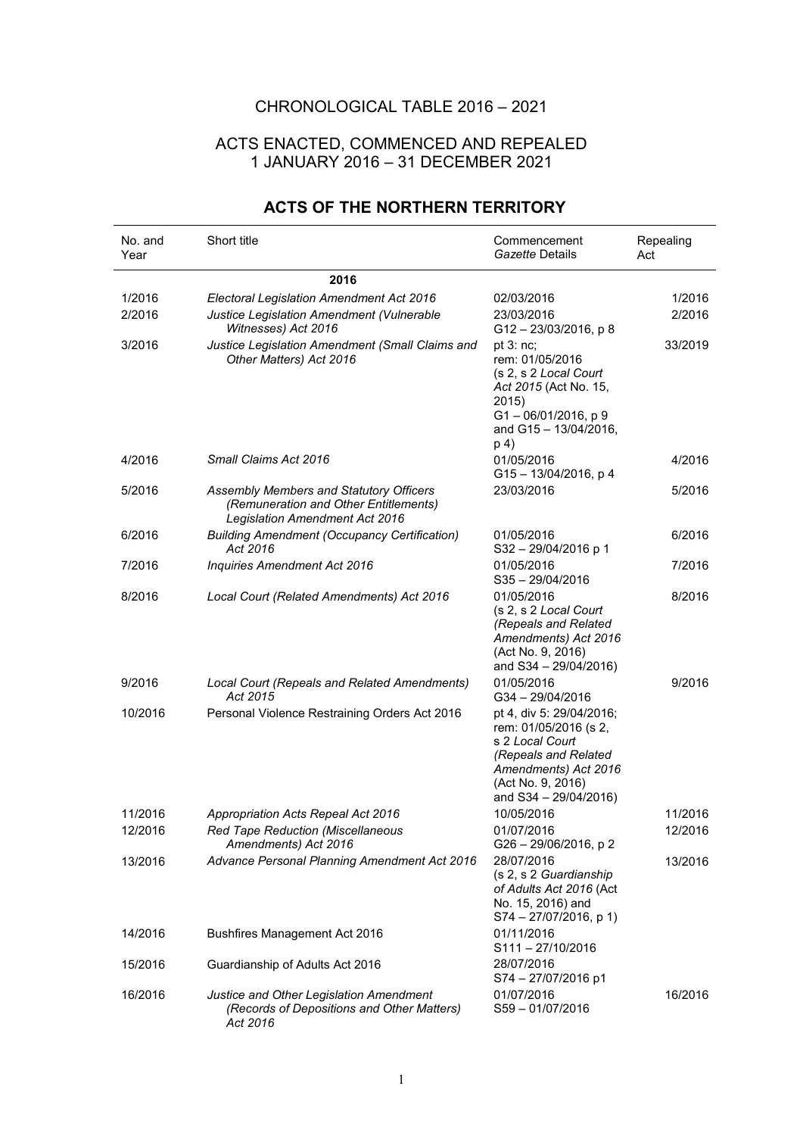## CHRONOLOGICAL TABLE 2016 – 2021

## ACTS ENACTED, COMMENCED AND REPEALED 1 JANUARY 2016 – 31 DECEMBER 2021

| No. and<br>Year | Short title                                                                                                        | Commencement<br>Gazette Details                                                                                                                                    | Repealing<br>Act |
|-----------------|--------------------------------------------------------------------------------------------------------------------|--------------------------------------------------------------------------------------------------------------------------------------------------------------------|------------------|
|                 | 2016                                                                                                               |                                                                                                                                                                    |                  |
| 1/2016          | Electoral Legislation Amendment Act 2016                                                                           | 02/03/2016                                                                                                                                                         | 1/2016           |
| 2/2016          | Justice Legislation Amendment (Vulnerable<br>Witnesses) Act 2016                                                   | 23/03/2016<br>G12-23/03/2016, p8                                                                                                                                   | 2/2016           |
| 3/2016          | Justice Legislation Amendment (Small Claims and<br>Other Matters) Act 2016                                         | pt $3:nc;$<br>rem: 01/05/2016<br>(s 2, s 2 Local Court<br>Act 2015 (Act No. 15,<br>2015)<br>G1-06/01/2016, p9<br>and G15 - 13/04/2016,<br>p 4)                     | 33/2019          |
| 4/2016          | Small Claims Act 2016                                                                                              | 01/05/2016<br>G15-13/04/2016, p 4                                                                                                                                  | 4/2016           |
| 5/2016          | Assembly Members and Statutory Officers<br>(Remuneration and Other Entitlements)<br>Legislation Amendment Act 2016 | 23/03/2016                                                                                                                                                         | 5/2016           |
| 6/2016          | <b>Building Amendment (Occupancy Certification)</b><br>Act 2016                                                    | 01/05/2016<br>S32-29/04/2016 p 1                                                                                                                                   | 6/2016           |
| 7/2016          | Inquiries Amendment Act 2016                                                                                       | 01/05/2016<br>$S35 - 29/04/2016$                                                                                                                                   | 7/2016           |
| 8/2016          | Local Court (Related Amendments) Act 2016                                                                          | 01/05/2016<br>(s 2, s 2 Local Court<br>(Repeals and Related<br>Amendments) Act 2016<br>(Act No. 9, 2016)<br>and S34 - 29/04/2016)                                  | 8/2016           |
| 9/2016          | Local Court (Repeals and Related Amendments)<br>Act 2015                                                           | 01/05/2016<br>G34-29/04/2016                                                                                                                                       | 9/2016           |
| 10/2016         | Personal Violence Restraining Orders Act 2016                                                                      | pt 4, div 5: 29/04/2016;<br>rem: 01/05/2016 (s 2,<br>s 2 Local Court<br>(Repeals and Related<br>Amendments) Act 2016<br>(Act No. 9, 2016)<br>and S34 - 29/04/2016) |                  |
| 11/2016         | <b>Appropriation Acts Repeal Act 2016</b>                                                                          | 10/05/2016                                                                                                                                                         | 11/2016          |
| 12/2016         | <b>Red Tape Reduction (Miscellaneous</b><br>Amendments) Act 2016                                                   | 01/07/2016<br>G26 - 29/06/2016, p 2                                                                                                                                | 12/2016          |
| 13/2016         | Advance Personal Planning Amendment Act 2016                                                                       | 28/07/2016<br>(s 2, s 2 Guardianship<br>of Adults Act 2016 (Act<br>No. 15, 2016) and<br>$S74 - 27/07/2016$ , p 1)                                                  | 13/2016          |
| 14/2016         | Bushfires Management Act 2016                                                                                      | 01/11/2016<br>$S111 - 27/10/2016$                                                                                                                                  |                  |
| 15/2016         | Guardianship of Adults Act 2016                                                                                    | 28/07/2016<br>S74 - 27/07/2016 p1                                                                                                                                  |                  |
| 16/2016         | Justice and Other Legislation Amendment<br>(Records of Depositions and Other Matters)<br>Act 2016                  | 01/07/2016<br>S59-01/07/2016                                                                                                                                       | 16/2016          |

## **ACTS OF THE NORTHERN TERRITORY**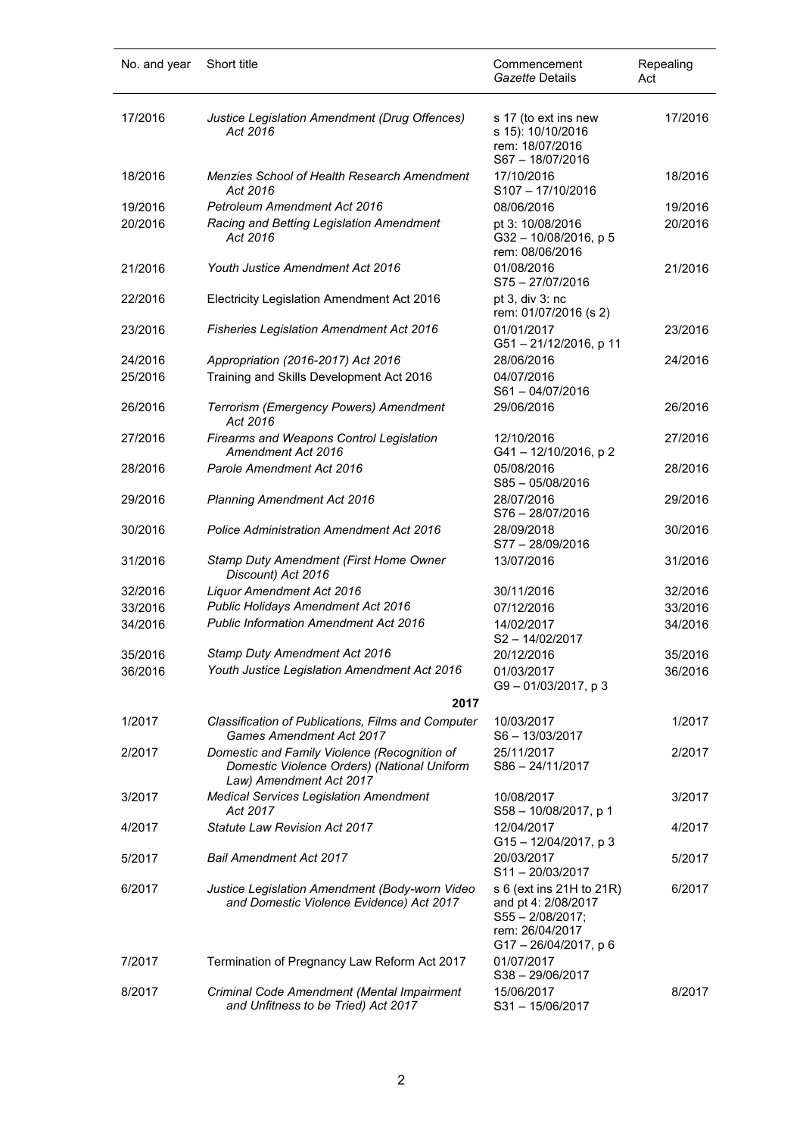| No. and year | Short title                                                                                                            | Commencement<br>Gazette Details                                                                            | Repealing<br>Act |
|--------------|------------------------------------------------------------------------------------------------------------------------|------------------------------------------------------------------------------------------------------------|------------------|
| 17/2016      | Justice Legislation Amendment (Drug Offences)<br>Act 2016                                                              | s 17 (to ext ins new<br>s 15): 10/10/2016<br>rem: 18/07/2016<br>S67-18/07/2016                             | 17/2016          |
| 18/2016      | <b>Menzies School of Health Research Amendment</b><br>Act 2016                                                         | 17/10/2016<br>S107-17/10/2016                                                                              | 18/2016          |
| 19/2016      | Petroleum Amendment Act 2016                                                                                           | 08/06/2016                                                                                                 | 19/2016          |
| 20/2016      | Racing and Betting Legislation Amendment<br>Act 2016                                                                   | pt 3: 10/08/2016<br>G32-10/08/2016, p 5<br>rem: 08/06/2016                                                 | 20/2016          |
| 21/2016      | Youth Justice Amendment Act 2016                                                                                       | 01/08/2016<br>S75-27/07/2016                                                                               | 21/2016          |
| 22/2016      | Electricity Legislation Amendment Act 2016                                                                             | pt 3, div 3: nc<br>rem: 01/07/2016 (s 2)                                                                   |                  |
| 23/2016      | <b>Fisheries Legislation Amendment Act 2016</b>                                                                        | 01/01/2017<br>G51-21/12/2016, p 11                                                                         | 23/2016          |
| 24/2016      | Appropriation (2016-2017) Act 2016                                                                                     | 28/06/2016                                                                                                 | 24/2016          |
| 25/2016      | Training and Skills Development Act 2016                                                                               | 04/07/2016<br>S61-04/07/2016                                                                               |                  |
| 26/2016      | Terrorism (Emergency Powers) Amendment<br>Act 2016                                                                     | 29/06/2016                                                                                                 | 26/2016          |
| 27/2016      | Firearms and Weapons Control Legislation<br>Amendment Act 2016                                                         | 12/10/2016<br>G41-12/10/2016, p2                                                                           | 27/2016          |
| 28/2016      | Parole Amendment Act 2016                                                                                              | 05/08/2016<br>$S85 - 05/08/2016$                                                                           | 28/2016          |
| 29/2016      | <b>Planning Amendment Act 2016</b>                                                                                     | 28/07/2016<br>S76-28/07/2016                                                                               | 29/2016          |
| 30/2016      | <b>Police Administration Amendment Act 2016</b>                                                                        | 28/09/2018<br>S77-28/09/2016                                                                               | 30/2016          |
| 31/2016      | Stamp Duty Amendment (First Home Owner<br>Discount) Act 2016                                                           | 13/07/2016                                                                                                 | 31/2016          |
| 32/2016      | Liquor Amendment Act 2016                                                                                              | 30/11/2016                                                                                                 | 32/2016          |
| 33/2016      | Public Holidays Amendment Act 2016                                                                                     | 07/12/2016                                                                                                 | 33/2016          |
| 34/2016      | <b>Public Information Amendment Act 2016</b>                                                                           | 14/02/2017<br>S2-14/02/2017                                                                                | 34/2016          |
| 35/2016      | <b>Stamp Duty Amendment Act 2016</b>                                                                                   | 20/12/2016                                                                                                 | 35/2016          |
| 36/2016      | Youth Justice Legislation Amendment Act 2016                                                                           | 01/03/2017<br>G9-01/03/2017, p3                                                                            | 36/2016          |
|              | 2017                                                                                                                   |                                                                                                            |                  |
| 1/2017       | Classification of Publications, Films and Computer<br><b>Games Amendment Act 2017</b>                                  | 10/03/2017<br>S6-13/03/2017                                                                                | 1/2017           |
| 2/2017       | Domestic and Family Violence (Recognition of<br>Domestic Violence Orders) (National Uniform<br>Law) Amendment Act 2017 | 25/11/2017<br>S86-24/11/2017                                                                               | 2/2017           |
| 3/2017       | <b>Medical Services Legislation Amendment</b><br>Act 2017                                                              | 10/08/2017<br>S58 - 10/08/2017, p 1                                                                        | 3/2017           |
| 4/2017       | <b>Statute Law Revision Act 2017</b>                                                                                   | 12/04/2017<br>G15-12/04/2017, p 3                                                                          | 4/2017           |
| 5/2017       | <b>Bail Amendment Act 2017</b>                                                                                         | 20/03/2017<br>S11-20/03/2017                                                                               | 5/2017           |
| 6/2017       | Justice Legislation Amendment (Body-worn Video<br>and Domestic Violence Evidence) Act 2017                             | s 6 (ext ins 21H to 21R)<br>and pt 4: 2/08/2017<br>S55-2/08/2017;<br>rem: 26/04/2017<br>G17-26/04/2017, p6 | 6/2017           |
| 7/2017       | Termination of Pregnancy Law Reform Act 2017                                                                           | 01/07/2017<br>S38-29/06/2017                                                                               |                  |
| 8/2017       | Criminal Code Amendment (Mental Impairment<br>and Unfitness to be Tried) Act 2017                                      | 15/06/2017<br>S31-15/06/2017                                                                               | 8/2017           |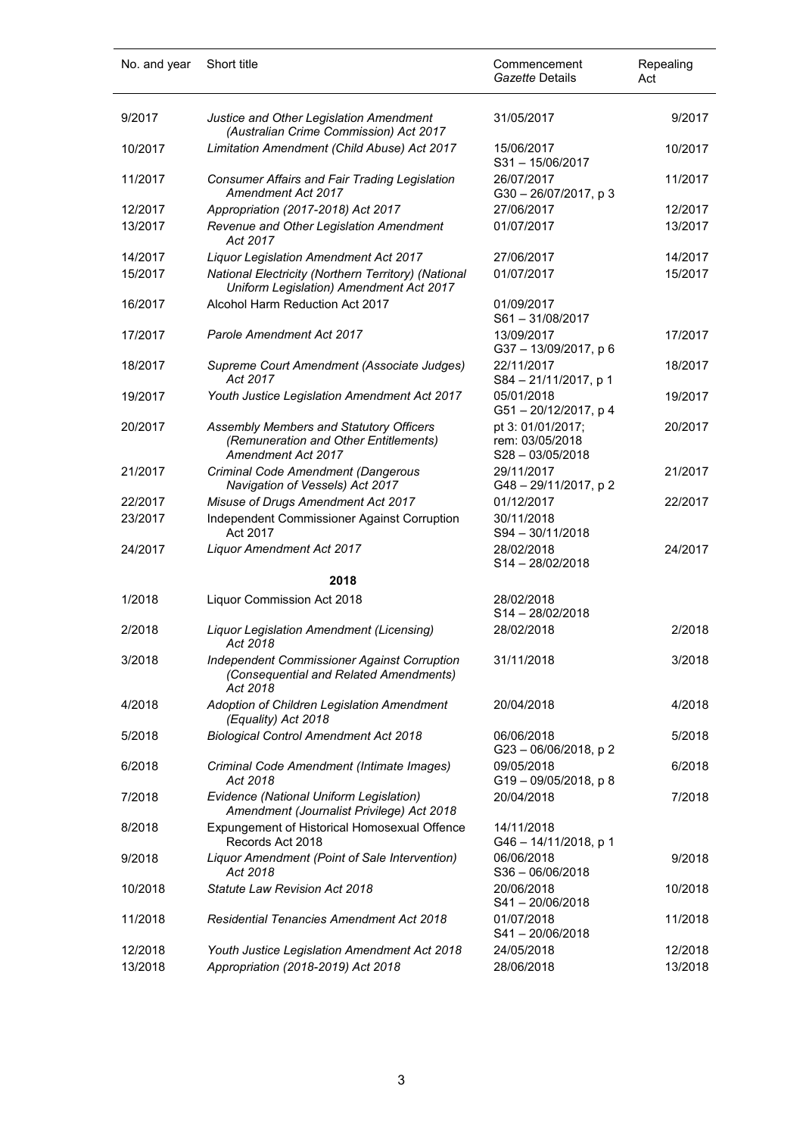| No. and year       | Short title                                                                                                                                    | Commencement<br>Gazette Details                            | Repealing<br>Act   |
|--------------------|------------------------------------------------------------------------------------------------------------------------------------------------|------------------------------------------------------------|--------------------|
| 9/2017             | Justice and Other Legislation Amendment<br>(Australian Crime Commission) Act 2017                                                              | 31/05/2017                                                 | 9/2017             |
| 10/2017            | Limitation Amendment (Child Abuse) Act 2017                                                                                                    | 15/06/2017<br>S31-15/06/2017                               | 10/2017            |
| 11/2017            | Consumer Affairs and Fair Trading Legislation<br>Amendment Act 2017                                                                            | 26/07/2017<br>$G30 - 26/07/2017$ , p 3                     | 11/2017            |
| 12/2017<br>13/2017 | Appropriation (2017-2018) Act 2017<br>Revenue and Other Legislation Amendment<br>Act 2017                                                      | 27/06/2017<br>01/07/2017                                   | 12/2017<br>13/2017 |
| 14/2017<br>15/2017 | <b>Liquor Legislation Amendment Act 2017</b><br>National Electricity (Northern Territory) (National<br>Uniform Legislation) Amendment Act 2017 | 27/06/2017<br>01/07/2017                                   | 14/2017<br>15/2017 |
| 16/2017            | Alcohol Harm Reduction Act 2017                                                                                                                | 01/09/2017<br>S61-31/08/2017                               |                    |
| 17/2017            | <b>Parole Amendment Act 2017</b>                                                                                                               | 13/09/2017<br>G37-13/09/2017, p 6                          | 17/2017            |
| 18/2017            | Supreme Court Amendment (Associate Judges)<br>Act 2017                                                                                         | 22/11/2017<br>S84-21/11/2017, p 1                          | 18/2017            |
| 19/2017            | Youth Justice Legislation Amendment Act 2017                                                                                                   | 05/01/2018<br>G51-20/12/2017, p4                           | 19/2017            |
| 20/2017            | Assembly Members and Statutory Officers<br>(Remuneration and Other Entitlements)<br><b>Amendment Act 2017</b>                                  | pt 3: 01/01/2017;<br>rem: 03/05/2018<br>$S28 - 03/05/2018$ | 20/2017            |
| 21/2017            | Criminal Code Amendment (Dangerous<br>Navigation of Vessels) Act 2017                                                                          | 29/11/2017<br>G48-29/11/2017, p2                           | 21/2017            |
| 22/2017            | Misuse of Drugs Amendment Act 2017                                                                                                             | 01/12/2017                                                 | 22/2017            |
| 23/2017            | Independent Commissioner Against Corruption<br>Act 2017                                                                                        | 30/11/2018<br>S94 - 30/11/2018                             |                    |
| 24/2017            | Liquor Amendment Act 2017                                                                                                                      | 28/02/2018<br>S14-28/02/2018                               | 24/2017            |
|                    | 2018                                                                                                                                           |                                                            |                    |
| 1/2018             | Liquor Commission Act 2018                                                                                                                     | 28/02/2018<br>$S14 - 28/02/2018$                           |                    |
| 2/2018             | <b>Liquor Legislation Amendment (Licensing)</b><br>Act 2018                                                                                    | 28/02/2018                                                 | 2/2018             |
| 3/2018             | <b>Independent Commissioner Against Corruption</b><br>(Consequential and Related Amendments)<br>Act 2018                                       | 31/11/2018                                                 | 3/2018             |
| 4/2018             | Adoption of Children Legislation Amendment<br>(Equality) Act 2018                                                                              | 20/04/2018                                                 | 4/2018             |
| 5/2018             | <b>Biological Control Amendment Act 2018</b>                                                                                                   | 06/06/2018<br>G23-06/06/2018, p2                           | 5/2018             |
| 6/2018             | Criminal Code Amendment (Intimate Images)<br>Act 2018                                                                                          | 09/05/2018<br>$G19 - 09/05/2018$ , p 8                     | 6/2018             |
| 7/2018             | Evidence (National Uniform Legislation)<br>Amendment (Journalist Privilege) Act 2018                                                           | 20/04/2018                                                 | 7/2018             |
| 8/2018             | Expungement of Historical Homosexual Offence<br>Records Act 2018                                                                               | 14/11/2018<br>G46-14/11/2018, p 1                          |                    |
| 9/2018             | Liquor Amendment (Point of Sale Intervention)<br>Act 2018                                                                                      | 06/06/2018<br>$S36 - 06/06/2018$                           | 9/2018             |
| 10/2018            | Statute Law Revision Act 2018                                                                                                                  | 20/06/2018<br>S41-20/06/2018                               | 10/2018            |
| 11/2018            | <b>Residential Tenancies Amendment Act 2018</b>                                                                                                | 01/07/2018<br>S41-20/06/2018                               | 11/2018            |
| 12/2018<br>13/2018 | Youth Justice Legislation Amendment Act 2018<br>Appropriation (2018-2019) Act 2018                                                             | 24/05/2018<br>28/06/2018                                   | 12/2018<br>13/2018 |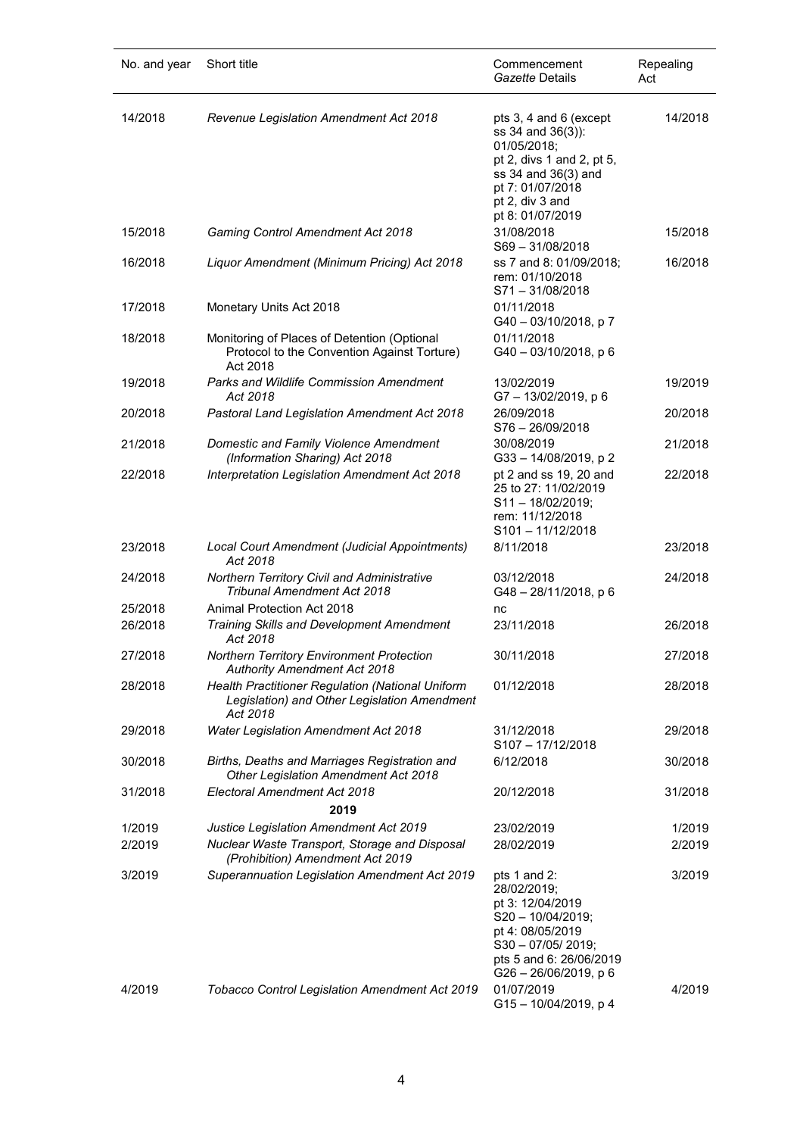| No. and year     | Short title                                                                                                                 | Commencement<br>Gazette Details                                                                                                                                           | Repealing<br>Act |
|------------------|-----------------------------------------------------------------------------------------------------------------------------|---------------------------------------------------------------------------------------------------------------------------------------------------------------------------|------------------|
| 14/2018          | Revenue Legislation Amendment Act 2018                                                                                      | pts 3, 4 and 6 (except<br>ss 34 and 36(3)):<br>01/05/2018;<br>pt 2, divs 1 and 2, pt 5,<br>ss 34 and 36(3) and<br>pt 7: 01/07/2018<br>pt 2, div 3 and<br>pt 8: 01/07/2019 | 14/2018          |
| 15/2018          | <b>Gaming Control Amendment Act 2018</b>                                                                                    | 31/08/2018<br>S69-31/08/2018                                                                                                                                              | 15/2018          |
| 16/2018          | Liquor Amendment (Minimum Pricing) Act 2018                                                                                 | ss 7 and 8: 01/09/2018;<br>rem: 01/10/2018<br>S71-31/08/2018                                                                                                              | 16/2018          |
| 17/2018          | Monetary Units Act 2018                                                                                                     | 01/11/2018<br>G40-03/10/2018, p7                                                                                                                                          |                  |
| 18/2018          | Monitoring of Places of Detention (Optional<br>Protocol to the Convention Against Torture)<br>Act 2018                      | 01/11/2018<br>G40-03/10/2018, p6                                                                                                                                          |                  |
| 19/2018          | <b>Parks and Wildlife Commission Amendment</b><br>Act 2018                                                                  | 13/02/2019<br>G7-13/02/2019, p6                                                                                                                                           | 19/2019          |
| 20/2018          | Pastoral Land Legislation Amendment Act 2018                                                                                | 26/09/2018<br>S76-26/09/2018                                                                                                                                              | 20/2018          |
| 21/2018          | Domestic and Family Violence Amendment<br>(Information Sharing) Act 2018                                                    | 30/08/2019<br>G33-14/08/2019, p2                                                                                                                                          | 21/2018          |
| 22/2018          | Interpretation Legislation Amendment Act 2018                                                                               | pt 2 and ss 19, 20 and<br>25 to 27: 11/02/2019<br>S11-18/02/2019;<br>rem: 11/12/2018<br>$S101 - 11/12/2018$                                                               | 22/2018          |
| 23/2018          | Local Court Amendment (Judicial Appointments)<br>Act 2018                                                                   | 8/11/2018                                                                                                                                                                 | 23/2018          |
| 24/2018          | Northern Territory Civil and Administrative<br><b>Tribunal Amendment Act 2018</b>                                           | 03/12/2018<br>G48-28/11/2018, p 6                                                                                                                                         | 24/2018          |
| 25/2018          | Animal Protection Act 2018                                                                                                  | nc                                                                                                                                                                        |                  |
| 26/2018          | Training Skills and Development Amendment<br>Act 2018                                                                       | 23/11/2018                                                                                                                                                                | 26/2018          |
| 27/2018          | <b>Northern Territory Environment Protection</b><br><b>Authority Amendment Act 2018</b>                                     | 30/11/2018                                                                                                                                                                | 27/2018          |
| 28/2018          | Health Practitioner Regulation (National Uniform<br>Legislation) and Other Legislation Amendment<br>Act 2018                | 01/12/2018                                                                                                                                                                | 28/2018          |
| 29/2018          | <b>Water Legislation Amendment Act 2018</b>                                                                                 | 31/12/2018<br>S107-17/12/2018                                                                                                                                             | 29/2018          |
| 30/2018          | Births, Deaths and Marriages Registration and<br>Other Legislation Amendment Act 2018                                       | 6/12/2018                                                                                                                                                                 | 30/2018          |
| 31/2018          | Electoral Amendment Act 2018<br>2019                                                                                        | 20/12/2018                                                                                                                                                                | 31/2018          |
| 1/2019<br>2/2019 | Justice Legislation Amendment Act 2019<br>Nuclear Waste Transport, Storage and Disposal<br>(Prohibition) Amendment Act 2019 | 23/02/2019<br>28/02/2019                                                                                                                                                  | 1/2019<br>2/2019 |
| 3/2019           | Superannuation Legislation Amendment Act 2019                                                                               | pts 1 and 2:<br>28/02/2019;<br>pt 3: 12/04/2019<br>S20 - 10/04/2019;<br>pt 4: 08/05/2019<br>$S30 - 07/05/2019;$<br>pts 5 and 6: 26/06/2019<br>$G26 - 26/06/2019$ , p 6    | 3/2019           |
| 4/2019           | Tobacco Control Legislation Amendment Act 2019                                                                              | 01/07/2019<br>G15-10/04/2019, p 4                                                                                                                                         | 4/2019           |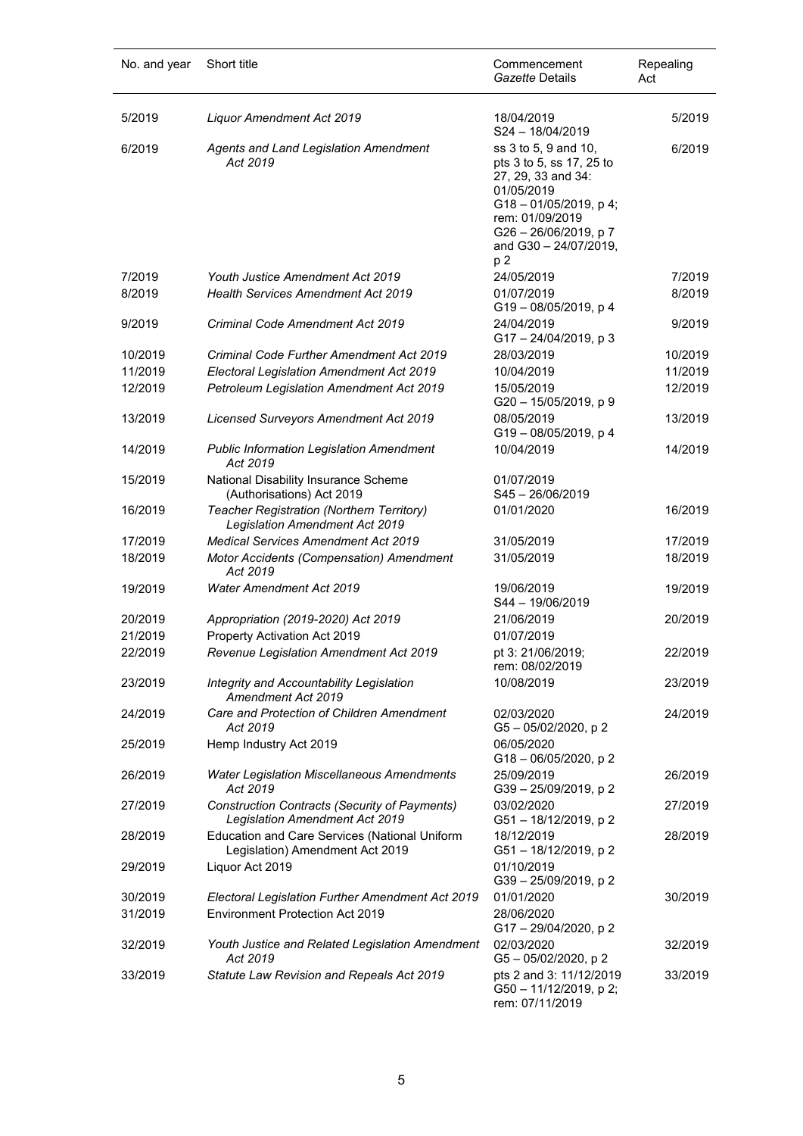| No. and year | Short title                                                                                   | Commencement<br>Gazette Details                                                                                                                                                                          | Repealing<br>Act |
|--------------|-----------------------------------------------------------------------------------------------|----------------------------------------------------------------------------------------------------------------------------------------------------------------------------------------------------------|------------------|
| 5/2019       | Liquor Amendment Act 2019                                                                     | 18/04/2019<br>S24-18/04/2019                                                                                                                                                                             | 5/2019           |
| 6/2019       | Agents and Land Legislation Amendment<br>Act 2019                                             | ss 3 to 5, 9 and 10,<br>pts 3 to 5, ss 17, 25 to<br>27, 29, 33 and 34:<br>01/05/2019<br>$G18 - 01/05/2019$ , p 4;<br>rem: 01/09/2019<br>G26 - 26/06/2019, p 7<br>and G30 - 24/07/2019,<br>p <sub>2</sub> | 6/2019           |
| 7/2019       | Youth Justice Amendment Act 2019                                                              | 24/05/2019                                                                                                                                                                                               | 7/2019           |
| 8/2019       | <b>Health Services Amendment Act 2019</b>                                                     | 01/07/2019<br>G19-08/05/2019, p4                                                                                                                                                                         | 8/2019           |
| 9/2019       | Criminal Code Amendment Act 2019                                                              | 24/04/2019<br>G17-24/04/2019, p3                                                                                                                                                                         | 9/2019           |
| 10/2019      | Criminal Code Further Amendment Act 2019                                                      | 28/03/2019                                                                                                                                                                                               | 10/2019          |
| 11/2019      | Electoral Legislation Amendment Act 2019                                                      | 10/04/2019                                                                                                                                                                                               | 11/2019          |
| 12/2019      | Petroleum Legislation Amendment Act 2019                                                      | 15/05/2019<br>G20 - 15/05/2019, p 9                                                                                                                                                                      | 12/2019          |
| 13/2019      | Licensed Surveyors Amendment Act 2019                                                         | 08/05/2019<br>G19-08/05/2019, p4                                                                                                                                                                         | 13/2019          |
| 14/2019      | <b>Public Information Legislation Amendment</b><br>Act 2019                                   | 10/04/2019                                                                                                                                                                                               | 14/2019          |
| 15/2019      | National Disability Insurance Scheme<br>(Authorisations) Act 2019                             | 01/07/2019<br>S45-26/06/2019                                                                                                                                                                             |                  |
| 16/2019      | Teacher Registration (Northern Territory)<br><b>Legislation Amendment Act 2019</b>            | 01/01/2020                                                                                                                                                                                               | 16/2019          |
| 17/2019      | <b>Medical Services Amendment Act 2019</b>                                                    | 31/05/2019                                                                                                                                                                                               | 17/2019          |
| 18/2019      | Motor Accidents (Compensation) Amendment<br>Act 2019                                          | 31/05/2019                                                                                                                                                                                               | 18/2019          |
| 19/2019      | <b>Water Amendment Act 2019</b>                                                               | 19/06/2019<br>S44 - 19/06/2019                                                                                                                                                                           | 19/2019          |
| 20/2019      | Appropriation (2019-2020) Act 2019                                                            | 21/06/2019                                                                                                                                                                                               | 20/2019          |
| 21/2019      | Property Activation Act 2019                                                                  | 01/07/2019                                                                                                                                                                                               |                  |
| 22/2019      | Revenue Legislation Amendment Act 2019                                                        | pt 3: 21/06/2019:<br>rem: 08/02/2019                                                                                                                                                                     | 22/2019          |
| 23/2019      | Integrity and Accountability Legislation<br>Amendment Act 2019                                | 10/08/2019                                                                                                                                                                                               | 23/2019          |
| 24/2019      | Care and Protection of Children Amendment<br>Act 2019                                         | 02/03/2020<br>G5-05/02/2020, p2                                                                                                                                                                          | 24/2019          |
| 25/2019      | Hemp Industry Act 2019                                                                        | 06/05/2020<br>G18-06/05/2020, p2                                                                                                                                                                         |                  |
| 26/2019      | <b>Water Legislation Miscellaneous Amendments</b><br>Act 2019                                 | 25/09/2019<br>G39-25/09/2019, p2                                                                                                                                                                         | 26/2019          |
| 27/2019      | <b>Construction Contracts (Security of Payments)</b><br><b>Legislation Amendment Act 2019</b> | 03/02/2020<br>G51-18/12/2019, p2                                                                                                                                                                         | 27/2019          |
| 28/2019      | Education and Care Services (National Uniform<br>Legislation) Amendment Act 2019              | 18/12/2019<br>G51-18/12/2019, p2                                                                                                                                                                         | 28/2019          |
| 29/2019      | Liquor Act 2019                                                                               | 01/10/2019<br>G39-25/09/2019, p2                                                                                                                                                                         |                  |
| 30/2019      | Electoral Legislation Further Amendment Act 2019                                              | 01/01/2020                                                                                                                                                                                               | 30/2019          |
| 31/2019      | <b>Environment Protection Act 2019</b>                                                        | 28/06/2020<br>G17-29/04/2020, p2                                                                                                                                                                         |                  |
| 32/2019      | Youth Justice and Related Legislation Amendment<br>Act 2019                                   | 02/03/2020<br>G5-05/02/2020, p2                                                                                                                                                                          | 32/2019          |
| 33/2019      | Statute Law Revision and Repeals Act 2019                                                     | pts 2 and 3: 11/12/2019<br>G50 - 11/12/2019, p 2;<br>rem: 07/11/2019                                                                                                                                     | 33/2019          |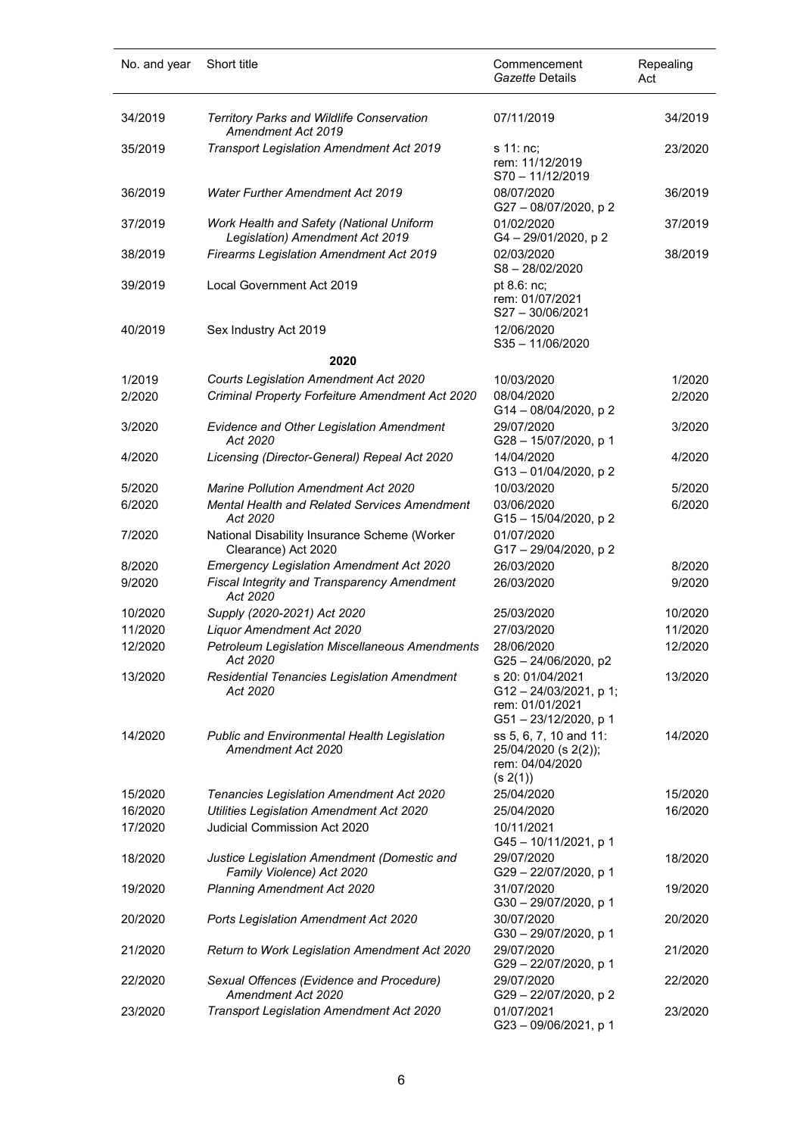| No. and year     | Short title                                                                                                       | Commencement<br>Gazette Details                                                    | Repealing<br>Act |
|------------------|-------------------------------------------------------------------------------------------------------------------|------------------------------------------------------------------------------------|------------------|
| 34/2019          | Territory Parks and Wildlife Conservation<br>Amendment Act 2019                                                   | 07/11/2019                                                                         | 34/2019          |
| 35/2019          | Transport Legislation Amendment Act 2019                                                                          | s 11: nc;<br>rem: 11/12/2019<br>S70-11/12/2019                                     | 23/2020          |
| 36/2019          | <b>Water Further Amendment Act 2019</b>                                                                           | 08/07/2020<br>G27-08/07/2020, p2                                                   | 36/2019          |
| 37/2019          | Work Health and Safety (National Uniform<br>Legislation) Amendment Act 2019                                       | 01/02/2020<br>G4-29/01/2020, p2                                                    | 37/2019          |
| 38/2019          | Firearms Legislation Amendment Act 2019                                                                           | 02/03/2020<br>S8-28/02/2020                                                        | 38/2019          |
| 39/2019          | Local Government Act 2019                                                                                         | pt 8.6: nc;<br>rem: 01/07/2021<br>S27-30/06/2021                                   |                  |
| 40/2019          | Sex Industry Act 2019                                                                                             | 12/06/2020<br>S35-11/06/2020                                                       |                  |
|                  | 2020                                                                                                              |                                                                                    |                  |
| 1/2019           | Courts Legislation Amendment Act 2020                                                                             | 10/03/2020                                                                         | 1/2020           |
| 2/2020           | Criminal Property Forfeiture Amendment Act 2020                                                                   | 08/04/2020<br>G14-08/04/2020, p2                                                   | 2/2020           |
| 3/2020           | Evidence and Other Legislation Amendment<br>Act 2020                                                              | 29/07/2020<br>G28-15/07/2020, p 1                                                  | 3/2020           |
| 4/2020           | Licensing (Director-General) Repeal Act 2020                                                                      | 14/04/2020<br>G13-01/04/2020, p2                                                   | 4/2020           |
| 5/2020           | <b>Marine Pollution Amendment Act 2020</b>                                                                        | 10/03/2020                                                                         | 5/2020           |
| 6/2020           | Mental Health and Related Services Amendment<br>Act 2020                                                          | 03/06/2020<br>G15-15/04/2020, p2                                                   | 6/2020           |
| 7/2020           | National Disability Insurance Scheme (Worker<br>Clearance) Act 2020                                               | 01/07/2020<br>G17-29/04/2020, p2                                                   |                  |
| 8/2020<br>9/2020 | <b>Emergency Legislation Amendment Act 2020</b><br><b>Fiscal Integrity and Transparency Amendment</b><br>Act 2020 | 26/03/2020<br>26/03/2020                                                           | 8/2020<br>9/2020 |
| 10/2020          | Supply (2020-2021) Act 2020                                                                                       | 25/03/2020                                                                         | 10/2020          |
| 11/2020          | Liquor Amendment Act 2020                                                                                         | 27/03/2020                                                                         | 11/2020          |
| 12/2020          | <b>Petroleum Legislation Miscellaneous Amendments</b><br>Act 2020                                                 | 28/06/2020<br>G25-24/06/2020, p2                                                   | 12/2020          |
| 13/2020          | <b>Residential Tenancies Legislation Amendment</b><br>Act 2020                                                    | s 20: 01/04/2021<br>G12-24/03/2021, p 1;<br>rem: 01/01/2021<br>G51-23/12/2020, p 1 | 13/2020          |
| 14/2020          | <b>Public and Environmental Health Legislation</b><br>Amendment Act 2020                                          | ss 5, 6, 7, 10 and 11:<br>25/04/2020 (s 2(2));<br>rem: 04/04/2020<br>(s 2(1))      | 14/2020          |
| 15/2020          | Tenancies Legislation Amendment Act 2020                                                                          | 25/04/2020                                                                         | 15/2020          |
| 16/2020          | Utilities Legislation Amendment Act 2020                                                                          | 25/04/2020                                                                         | 16/2020          |
| 17/2020          | Judicial Commission Act 2020                                                                                      | 10/11/2021<br>G45-10/11/2021, p 1                                                  |                  |
| 18/2020          | Justice Legislation Amendment (Domestic and<br>Family Violence) Act 2020                                          | 29/07/2020<br>G29-22/07/2020, p 1                                                  | 18/2020          |
| 19/2020          | Planning Amendment Act 2020                                                                                       | 31/07/2020<br>G30-29/07/2020, p 1                                                  | 19/2020          |
| 20/2020          | Ports Legislation Amendment Act 2020                                                                              | 30/07/2020<br>G30-29/07/2020, p 1                                                  | 20/2020          |
| 21/2020          | Return to Work Legislation Amendment Act 2020                                                                     | 29/07/2020<br>G29-22/07/2020, p 1                                                  | 21/2020          |
| 22/2020          | Sexual Offences (Evidence and Procedure)<br>Amendment Act 2020                                                    | 29/07/2020<br>G29-22/07/2020, p2                                                   | 22/2020          |
| 23/2020          | Transport Legislation Amendment Act 2020                                                                          | 01/07/2021<br>G23-09/06/2021, p 1                                                  | 23/2020          |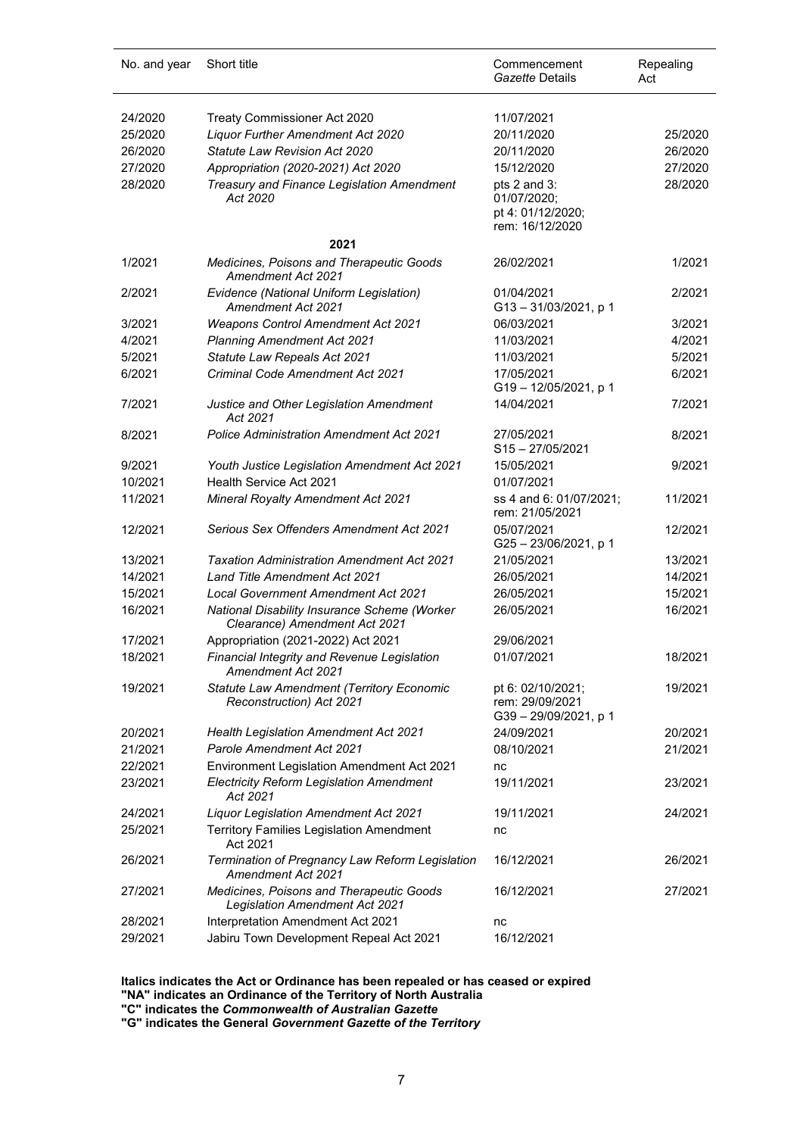| No. and year | Short title                                                                       | Commencement<br>Gazette Details                                     | Repealing<br>Act |
|--------------|-----------------------------------------------------------------------------------|---------------------------------------------------------------------|------------------|
|              |                                                                                   |                                                                     |                  |
| 24/2020      | Treaty Commissioner Act 2020                                                      | 11/07/2021                                                          |                  |
| 25/2020      | <b>Liquor Further Amendment Act 2020</b>                                          | 20/11/2020                                                          | 25/2020          |
| 26/2020      | Statute Law Revision Act 2020                                                     | 20/11/2020                                                          | 26/2020          |
| 27/2020      | Appropriation (2020-2021) Act 2020                                                | 15/12/2020                                                          | 27/2020          |
| 28/2020      | Treasury and Finance Legislation Amendment<br>Act 2020                            | pts 2 and 3:<br>01/07/2020;<br>pt 4: 01/12/2020;<br>rem: 16/12/2020 | 28/2020          |
|              | 2021                                                                              |                                                                     |                  |
| 1/2021       | <b>Medicines, Poisons and Therapeutic Goods</b><br>Amendment Act 2021             | 26/02/2021                                                          | 1/2021           |
| 2/2021       | Evidence (National Uniform Legislation)<br>Amendment Act 2021                     | 01/04/2021<br>G13-31/03/2021, p 1                                   | 2/2021           |
| 3/2021       | <b>Weapons Control Amendment Act 2021</b>                                         | 06/03/2021                                                          | 3/2021           |
| 4/2021       | <b>Planning Amendment Act 2021</b>                                                | 11/03/2021                                                          | 4/2021           |
| 5/2021       | Statute Law Repeals Act 2021                                                      | 11/03/2021                                                          | 5/2021           |
| 6/2021       | <b>Criminal Code Amendment Act 2021</b>                                           | 17/05/2021                                                          | 6/2021           |
|              |                                                                                   | G19-12/05/2021, p 1                                                 |                  |
| 7/2021       | Justice and Other Legislation Amendment<br>Act 2021                               | 14/04/2021                                                          | 7/2021           |
| 8/2021       | Police Administration Amendment Act 2021                                          | 27/05/2021<br>$S15 - 27/05/2021$                                    | 8/2021           |
| 9/2021       | Youth Justice Legislation Amendment Act 2021                                      | 15/05/2021                                                          | 9/2021           |
| 10/2021      | Health Service Act 2021                                                           | 01/07/2021                                                          |                  |
| 11/2021      | <b>Mineral Royalty Amendment Act 2021</b>                                         | ss 4 and 6: 01/07/2021;<br>rem: 21/05/2021                          | 11/2021          |
| 12/2021      | Serious Sex Offenders Amendment Act 2021                                          | 05/07/2021<br>G25-23/06/2021, p 1                                   | 12/2021          |
| 13/2021      | <b>Taxation Administration Amendment Act 2021</b>                                 | 21/05/2021                                                          | 13/2021          |
| 14/2021      | <b>Land Title Amendment Act 2021</b>                                              | 26/05/2021                                                          | 14/2021          |
| 15/2021      | <b>Local Government Amendment Act 2021</b>                                        | 26/05/2021                                                          | 15/2021          |
| 16/2021      | National Disability Insurance Scheme (Worker<br>Clearance) Amendment Act 2021     | 26/05/2021                                                          | 16/2021          |
| 17/2021      | Appropriation (2021-2022) Act 2021                                                | 29/06/2021                                                          |                  |
| 18/2021      | Financial Integrity and Revenue Legislation<br>Amendment Act 2021                 | 01/07/2021                                                          | 18/2021          |
| 19/2021      | Statute Law Amendment (Territory Economic<br>Reconstruction) Act 2021             | pt 6: 02/10/2021;<br>rem: 29/09/2021<br>G39-29/09/2021, p 1         | 19/2021          |
| 20/2021      | <b>Health Legislation Amendment Act 2021</b>                                      | 24/09/2021                                                          | 20/2021          |
| 21/2021      | Parole Amendment Act 2021                                                         | 08/10/2021                                                          | 21/2021          |
| 22/2021      | Environment Legislation Amendment Act 2021                                        | nc                                                                  |                  |
| 23/2021      | <b>Electricity Reform Legislation Amendment</b><br>Act 2021                       | 19/11/2021                                                          | 23/2021          |
| 24/2021      | Liquor Legislation Amendment Act 2021                                             | 19/11/2021                                                          | 24/2021          |
| 25/2021      | <b>Territory Families Legislation Amendment</b><br>Act 2021                       | nc                                                                  |                  |
| 26/2021      | Termination of Pregnancy Law Reform Legislation<br>Amendment Act 2021             | 16/12/2021                                                          | 26/2021          |
| 27/2021      | Medicines, Poisons and Therapeutic Goods<br><b>Legislation Amendment Act 2021</b> | 16/12/2021                                                          | 27/2021          |
| 28/2021      | Interpretation Amendment Act 2021                                                 | nc                                                                  |                  |
| 29/2021      | Jabiru Town Development Repeal Act 2021                                           | 16/12/2021                                                          |                  |

**Italics indicates the Act or Ordinance has been repealed or has ceased or expired "NA" indicates an Ordinance of the Territory of North Australia**

**"C" indicates the** *Commonwealth of Australian Gazette* **"G" indicates the General** *Government Gazette of the Territory*